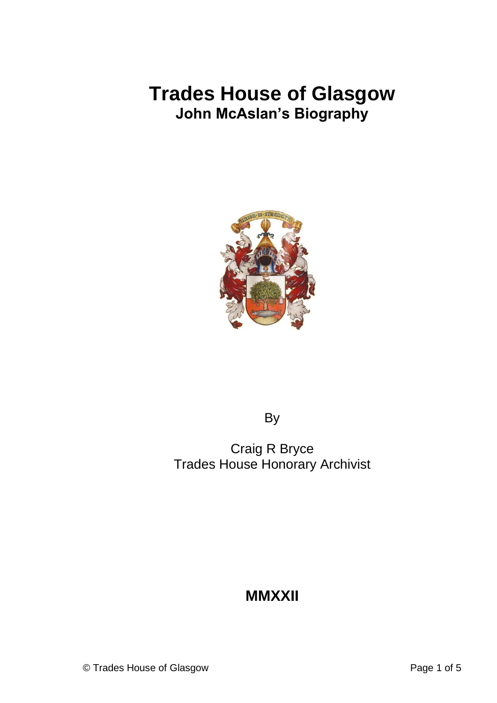# **Trades House of Glasgow John McAslan's Biography**



By

Craig R Bryce Trades House Honorary Archivist

## **MMXXII**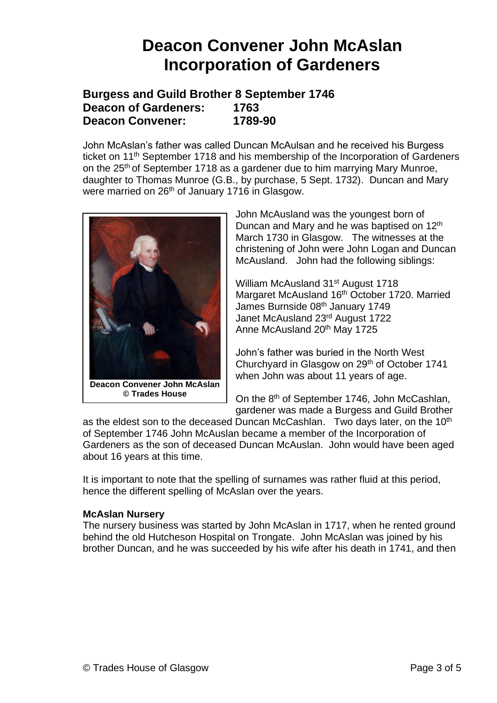## **Deacon Convener John McAslan Incorporation of Gardeners**

### **Burgess and Guild Brother 8 September 1746 Deacon of Gardeners: 1763 Deacon Convener: 1789-90**

John McAslan's father was called Duncan McAulsan and he received his Burgess ticket on 11<sup>th</sup> September 1718 and his membership of the Incorporation of Gardeners on the 25<sup>th</sup> of September 1718 as a gardener due to him marrying Mary Munroe, daughter to Thomas Munroe (G.B., by purchase, 5 Sept. 1732). Duncan and Mary were married on 26<sup>th</sup> of January 1716 in Glasgow.



**© Trades House**

John McAusland was the youngest born of Duncan and Mary and he was baptised on 12<sup>th</sup> March 1730 in Glasgow. The witnesses at the christening of John were John Logan and Duncan McAusland. John had the following siblings:

William McAusland 31<sup>st</sup> August 1718 Margaret McAusland 16<sup>th</sup> October 1720. Married James Burnside 08<sup>th</sup> January 1749 Janet McAusland 23rd August 1722 Anne McAusland 20<sup>th</sup> May 1725

John's father was buried in the North West Churchyard in Glasgow on 29th of October 1741 when John was about 11 years of age.

On the 8<sup>th</sup> of September 1746, John McCashlan, gardener was made a Burgess and Guild Brother

as the eldest son to the deceased Duncan McCashlan. Two days later, on the 10<sup>th</sup> of September 1746 John McAuslan became a member of the Incorporation of Gardeners as the son of deceased Duncan McAuslan. John would have been aged about 16 years at this time.

It is important to note that the spelling of surnames was rather fluid at this period, hence the different spelling of McAslan over the years.

#### **McAslan Nursery**

The nursery business was started by John McAslan in 1717, when he rented ground behind the old Hutcheson Hospital on Trongate. John McAslan was joined by his brother Duncan, and he was succeeded by his wife after his death in 1741, and then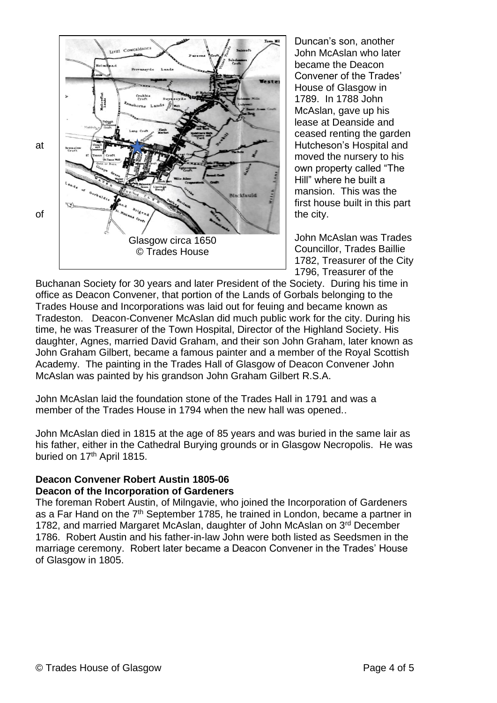

Duncan's son, another John McAslan who later became the Deacon Convener of the Trades' House of Glasgow in 1789. In 1788 John McAslan, gave up his lease at Deanside and ceased renting the garden moved the nursery to his own property called "The Hill" where he built a mansion. This was the first house built in this part

John McAslan was Trades Councillor, Trades Baillie 1782, Treasurer of the City 1796, Treasurer of the

Buchanan Society for 30 years and later President of the Society. During his time in office as Deacon Convener, that portion of the Lands of Gorbals belonging to the Trades House and Incorporations was laid out for feuing and became known as Tradeston. Deacon-Convener McAslan did much public work for the city. During his time, he was Treasurer of the Town Hospital, Director of the Highland Society. His daughter, Agnes, married David Graham, and their son John Graham, later known as John Graham Gilbert, became a famous painter and a member of the Royal Scottish Academy. The painting in the Trades Hall of Glasgow of Deacon Convener John McAslan was painted by his grandson John Graham Gilbert R.S.A.

John McAslan laid the foundation stone of the Trades Hall in 1791 and was a member of the Trades House in 1794 when the new hall was opened..

John McAslan died in 1815 at the age of 85 years and was buried in the same lair as his father, either in the Cathedral Burying grounds or in Glasgow Necropolis. He was buried on 17<sup>th</sup> April 1815.

### **Deacon Convener Robert Austin 1805-06 Deacon of the Incorporation of Gardeners**

The foreman Robert Austin, of Milngavie, who joined the Incorporation of Gardeners as a Far Hand on the 7<sup>th</sup> September 1785, he trained in London, became a partner in 1782, and married Margaret McAslan, daughter of John McAslan on 3<sup>rd</sup> December 1786. Robert Austin and his father-in-law John were both listed as Seedsmen in the marriage ceremony. Robert later became a Deacon Convener in the Trades' House of Glasgow in 1805.